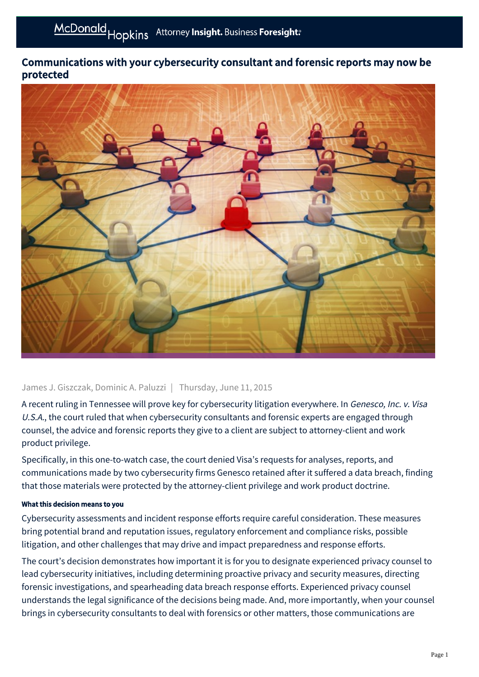# Communications with your cybersecurity consultant and forensic reports may now be protected



### James J. Giszczak, Dominic A. Paluzzi | Thursday, June 11, 2015

A recent ruling in Tennessee will prove key for cybersecurity litigation everywhere. In Genesco, Inc. v. Visa U.S.A., the court ruled that when cybersecurity consultants and forensic experts are engaged through counsel, the advice and forensic reports they give to a client are subject to attorney-client and work product privilege.

Specifically, in this one-to-watch case, the court denied Visa's requests for analyses, reports, and communications made by two cybersecurity firms Genesco retained after it suffered a data breach, finding that those materials were protected by the attorney-client privilege and work product doctrine.

#### What this decision means to you

Cybersecurity assessments and incident response efforts require careful consideration. These measures bring potential brand and reputation issues, regulatory enforcement and compliance risks, possible litigation, and other challenges that may drive and impact preparedness and response efforts.

The court's decision demonstrates how important it is for you to designate experienced privacy counsel to lead cybersecurity initiatives, including determining proactive privacy and security measures, directing forensic investigations, and spearheading data breach response efforts. Experienced privacy counsel understands the legal significance of the decisions being made. And, more importantly, when your counsel brings in cybersecurity consultants to deal with forensics or other matters, those communications are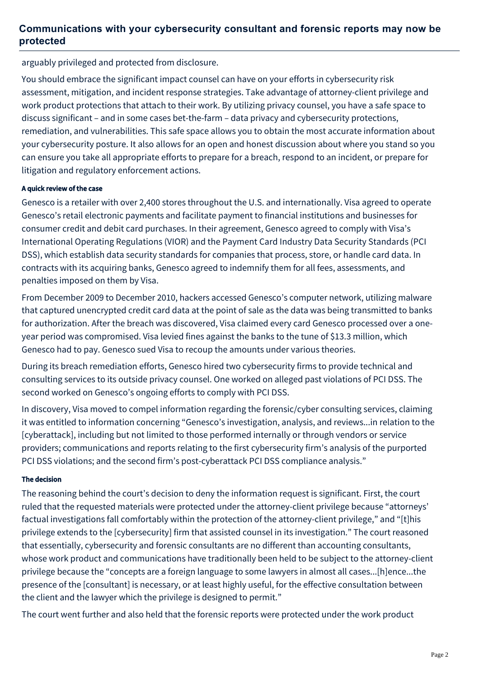## **Communications with your cybersecurity consultant and forensic reports may now be protected**

arguably privileged and protected from disclosure.

You should embrace the significant impact counsel can have on your efforts in cybersecurity risk assessment, mitigation, and incident response strategies. Take advantage of attorney-client privilege and work product protections that attach to their work. By utilizing privacy counsel, you have a safe space to discuss significant – and in some cases bet-the-farm – data privacy and cybersecurity protections, remediation, and vulnerabilities. This safe space allows you to obtain the most accurate information about your cybersecurity posture. It also allows for an open and honest discussion about where you stand so you can ensure you take all appropriate efforts to prepare for a breach, respond to an incident, or prepare for litigation and regulatory enforcement actions.

#### A quick review of the case

Genesco is a retailer with over 2,400 stores throughout the U.S. and internationally. Visa agreed to operate Genesco's retail electronic payments and facilitate payment to financial institutions and businesses for consumer credit and debit card purchases. In their agreement, Genesco agreed to comply with Visa's International Operating Regulations (VIOR) and the Payment Card Industry Data Security Standards (PCI DSS), which establish data security standards for companies that process, store, or handle card data. In contracts with its acquiring banks, Genesco agreed to indemnify them for all fees, assessments, and penalties imposed on them by Visa.

From December 2009 to December 2010, hackers accessed Genesco's computer network, utilizing malware that captured unencrypted credit card data at the point of sale as the data was being transmitted to banks for authorization. After the breach was discovered, Visa claimed every card Genesco processed over a oneyear period was compromised. Visa levied fines against the banks to the tune of \$13.3 million, which Genesco had to pay. Genesco sued Visa to recoup the amounts under various theories.

During its breach remediation efforts, Genesco hired two cybersecurity firms to provide technical and consulting services to its outside privacy counsel. One worked on alleged past violations of PCI DSS. The second worked on Genesco's ongoing efforts to comply with PCI DSS.

In discovery, Visa moved to compel information regarding the forensic/cyber consulting services, claiming it was entitled to information concerning "Genesco's investigation, analysis, and reviews...in relation to the [cyberattack], including but not limited to those performed internally or through vendors or service providers; communications and reports relating to the first cybersecurity firm's analysis of the purported PCI DSS violations; and the second firm's post-cyberattack PCI DSS compliance analysis."

#### The decision

The reasoning behind the court's decision to deny the information request is significant. First, the court ruled that the requested materials were protected under the attorney-client privilege because "attorneys' factual investigations fall comfortably within the protection of the attorney-client privilege," and "[t]his privilege extends to the [cybersecurity] firm that assisted counsel in its investigation." The court reasoned that essentially, cybersecurity and forensic consultants are no different than accounting consultants, whose work product and communications have traditionally been held to be subject to the attorney-client privilege because the "concepts are a foreign language to some lawyers in almost all cases...[h]ence...the presence of the [consultant] is necessary, or at least highly useful, for the effective consultation between the client and the lawyer which the privilege is designed to permit."

The court went further and also held that the forensic reports were protected under the work product